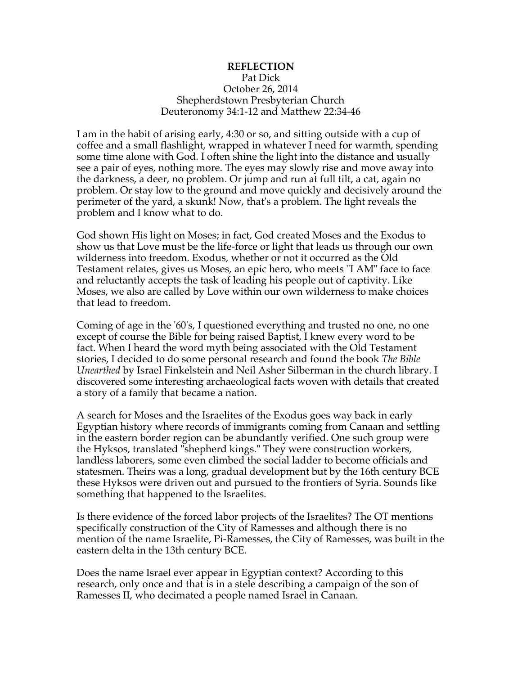## **REFLECTION** Pat Dick October 26, 2014 Shepherdstown Presbyterian Church Deuteronomy 34:1-12 and Matthew 22:34-46

I am in the habit of arising early, 4:30 or so, and sitting outside with a cup of coffee and a small flashlight, wrapped in whatever I need for warmth, spending some time alone with God. I often shine the light into the distance and usually see a pair of eyes, nothing more. The eyes may slowly rise and move away into the darkness, a deer, no problem. Or jump and run at full tilt, a cat, again no problem. Or stay low to the ground and move quickly and decisively around the perimeter of the yard, a skunk! Now, that's a problem. The light reveals the problem and I know what to do.

God shown His light on Moses; in fact, God created Moses and the Exodus to show us that Love must be the life-force or light that leads us through our own wilderness into freedom. Exodus, whether or not it occurred as the Old Testament relates, gives us Moses, an epic hero, who meets "I AM" face to face and reluctantly accepts the task of leading his people out of captivity. Like Moses, we also are called by Love within our own wilderness to make choices that lead to freedom.

Coming of age in the '60's, I questioned everything and trusted no one, no one except of course the Bible for being raised Baptist, I knew every word to be fact. When I heard the word myth being associated with the Old Testament stories, I decided to do some personal research and found the book *The Bible Unearthed* by Israel Finkelstein and Neil Asher Silberman in the church library. I discovered some interesting archaeological facts woven with details that created a story of a family that became a nation.

A search for Moses and the Israelites of the Exodus goes way back in early Egyptian history where records of immigrants coming from Canaan and settling in the eastern border region can be abundantly verified. One such group were the Hyksos, translated "shepherd kings." They were construction workers, landless laborers, some even climbed the social ladder to become officials and statesmen. Theirs was a long, gradual development but by the 16th century BCE these Hyksos were driven out and pursued to the frontiers of Syria. Sounds like something that happened to the Israelites.

Is there evidence of the forced labor projects of the Israelites? The OT mentions specifically construction of the City of Ramesses and although there is no mention of the name Israelite, Pi-Ramesses, the City of Ramesses, was built in the eastern delta in the 13th century BCE.

Does the name Israel ever appear in Egyptian context? According to this research, only once and that is in a stele describing a campaign of the son of Ramesses II, who decimated a people named Israel in Canaan.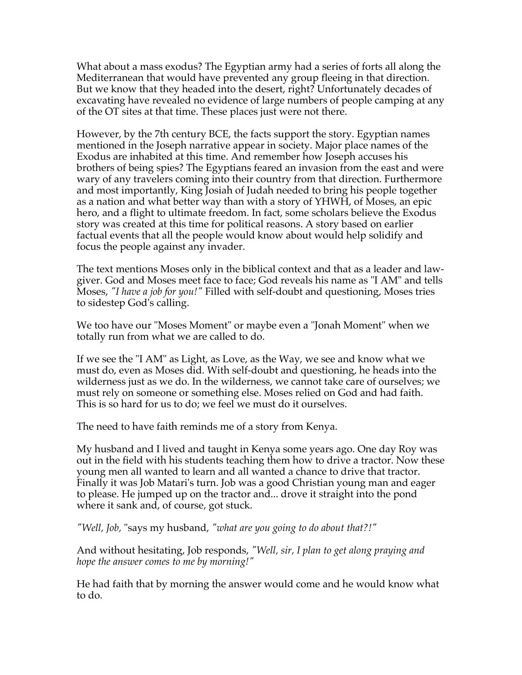What about a mass exodus? The Egyptian army had a series of forts all along the Mediterranean that would have prevented any group fleeing in that direction. But we know that they headed into the desert, right? Unfortunately decades of excavating have revealed no evidence of large numbers of people camping at any of the OT sites at that time. These places just were not there.

However, by the 7th century BCE, the facts support the story. Egyptian names mentioned in the Joseph narrative appear in society. Major place names of the Exodus are inhabited at this time. And remember how Joseph accuses his brothers of being spies? The Egyptians feared an invasion from the east and were wary of any travelers coming into their country from that direction. Furthermore and most importantly, King Josiah of Judah needed to bring his people together as a nation and what better way than with a story of YHWH, of Moses, an epic hero, and a flight to ultimate freedom. In fact, some scholars believe the Exodus story was created at this time for political reasons. A story based on earlier factual events that all the people would know about would help solidify and focus the people against any invader.

The text mentions Moses only in the biblical context and that as a leader and lawgiver. God and Moses meet face to face; God reveals his name as "I AM" and tells Moses, *"I have a job for you!"* Filled with self-doubt and questioning, Moses tries to sidestep God's calling.

We too have our "Moses Moment" or maybe even a "Jonah Moment" when we totally run from what we are called to do.

If we see the "I AM" as Light, as Love, as the Way, we see and know what we must do, even as Moses did. With self-doubt and questioning, he heads into the wilderness just as we do. In the wilderness, we cannot take care of ourselves; we must rely on someone or something else. Moses relied on God and had faith. This is so hard for us to do; we feel we must do it ourselves.

The need to have faith reminds me of a story from Kenya.

My husband and I lived and taught in Kenya some years ago. One day Roy was out in the field with his students teaching them how to drive a tractor. Now these young men all wanted to learn and all wanted a chance to drive that tractor. Finally it was Job Matari's turn. Job was a good Christian young man and eager to please. He jumped up on the tractor and... drove it straight into the pond where it sank and, of course, got stuck.

*"Well, Job,* "says my husband, *"what are you going to do about that?!"*

And without hesitating, Job responds, *"Well, sir, I plan to get along praying and hope the answer comes to me by morning!"*

He had faith that by morning the answer would come and he would know what to do.